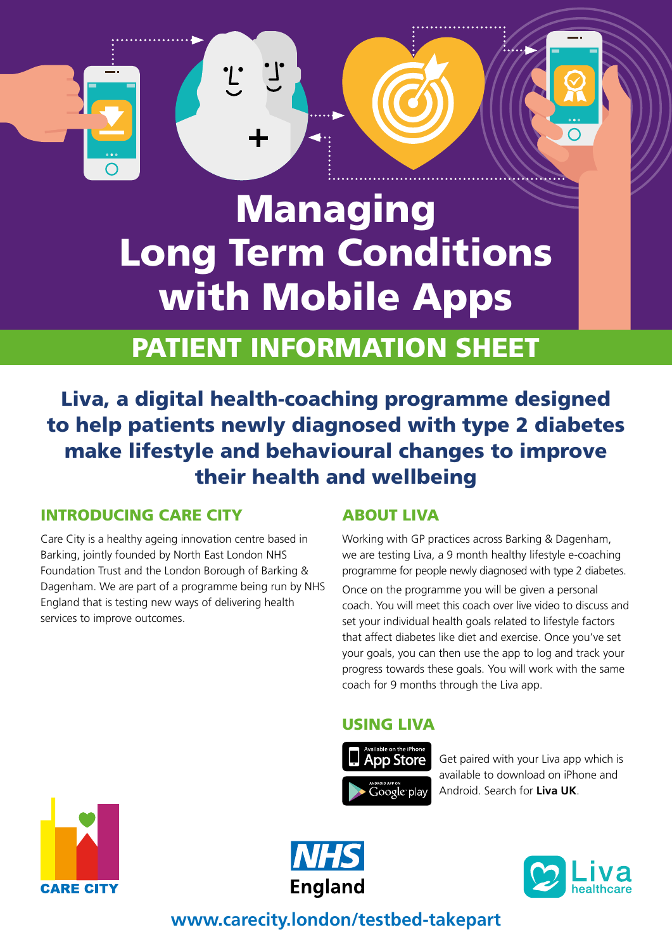# Managing Long Term Conditions with Mobile Apps

 $\cdot_L$ 

## PATIENT INFORMATION SHEET

Liva, a digital health-coaching programme designed to help patients newly diagnosed with type 2 diabetes make lifestyle and behavioural changes to improve their health and wellbeing

## INTRODUCING CARE CITY

Care City is a healthy ageing innovation centre based in Barking, jointly founded by North East London NHS Foundation Trust and the London Borough of Barking & Dagenham. We are part of a programme being run by NHS England that is testing new ways of delivering health services to improve outcomes.

## ABOUT LIVA

Working with GP practices across Barking & Dagenham, we are testing Liva, a 9 month healthy lifestyle e-coaching programme for people newly diagnosed with type 2 diabetes.

Once on the programme you will be given a personal coach. You will meet this coach over live video to discuss and set your individual health goals related to lifestyle factors that affect diabetes like diet and exercise. Once you've set your goals, you can then use the app to log and track your progress towards these goals. You will work with the same coach for 9 months through the Liva app.

## USING LIVA



Get paired with your Liva app which is available to download on iPhone and Android. Search for **Liva UK**.







## **www.carecity.london/testbed-takepart**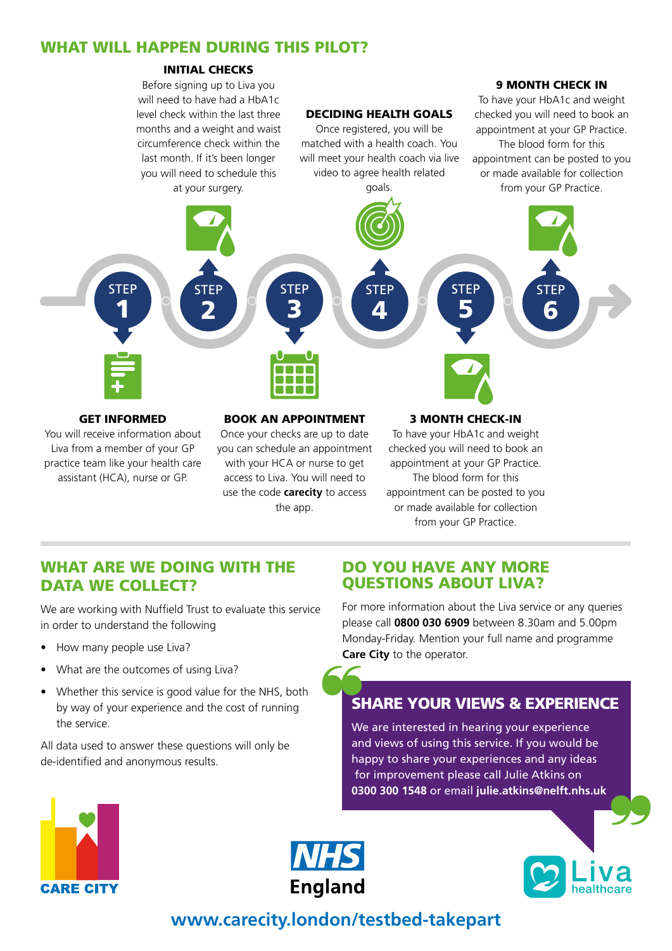### WHAT WILL HAPPEN DURING THIS PILOT?

#### INITIAL CHECKS



Liva from a member of your GP practice team like your health care assistant (HCA), nurse or GP.

you can schedule an appointment with your HCA or nurse to get access to Liva. You will need to use the code **carecity** to access the app.

checked you will need to book an appointment at your GP Practice. The blood form for this appointment can be posted to you or made available for collection from your GP Practice.

### WHAT ARE WE DOING WITH THE DATA WE COLLECT?

We are working with Nuffield Trust to evaluate this service in order to understand the following

- How many people use Liva?
- What are the outcomes of using Liva?
- Whether this service is good value for the NHS, both by way of your experience and the cost of running the service.

All data used to answer these questions will only be de-identified and anonymous results.

#### DO YOU HAVE ANY MORE QUESTIONS ABOUT LIVA?

For more information about the Liva service or any queries please call **0800 030 6909** between 8.30am and 5.00pm Monday-Friday. Mention your full name and programme **Care City** to the operator.

## SHARE YOUR VIEWS & EXPERIENCE

We are interested in hearing your experience and views of using this service. If you would be happy to share your experiences and any ideas for improvement please call Julie Atkins on **0300 300 1548** or email **julie.atkins@nelft.nhs.uk**







## **www.carecity.london/testbed-takepart**